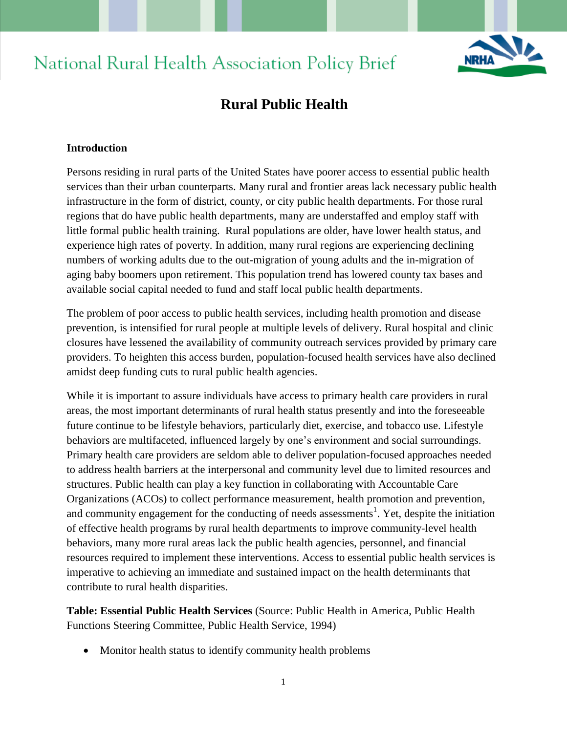# **National Rural Health Association Policy Brief**



# **Rural Public Health**

#### **Introduction**

Persons residing in rural parts of the United States have poorer access to essential public health services than their urban counterparts. Many rural and frontier areas lack necessary public health infrastructure in the form of district, county, or city public health departments. For those rural regions that do have public health departments, many are understaffed and employ staff with little formal public health training. Rural populations are older, have lower health status, and experience high rates of poverty. In addition, many rural regions are experiencing declining numbers of working adults due to the out-migration of young adults and the in-migration of aging baby boomers upon retirement. This population trend has lowered county tax bases and available social capital needed to fund and staff local public health departments.

The problem of poor access to public health services, including health promotion and disease prevention, is intensified for rural people at multiple levels of delivery. Rural hospital and clinic closures have lessened the availability of community outreach services provided by primary care providers. To heighten this access burden, population-focused health services have also declined amidst deep funding cuts to rural public health agencies.

While it is important to assure individuals have access to primary health care providers in rural areas, the most important determinants of rural health status presently and into the foreseeable future continue to be lifestyle behaviors, particularly diet, exercise, and tobacco use. Lifestyle behaviors are multifaceted, influenced largely by one's environment and social surroundings. Primary health care providers are seldom able to deliver population-focused approaches needed to address health barriers at the interpersonal and community level due to limited resources and structures. Public health can play a key function in collaborating with Accountable Care Organizations (ACOs) to collect performance measurement, health promotion and prevention, and community engagement for the conducting of needs assessments<sup>1</sup>. Yet, despite the initiation of effective health programs by rural health departments to improve community-level health behaviors, many more rural areas lack the public health agencies, personnel, and financial resources required to implement these interventions. Access to essential public health services is imperative to achieving an immediate and sustained impact on the health determinants that contribute to rural health disparities.

**Table: Essential Public Health Services** (Source: Public Health in America, Public Health Functions Steering Committee, Public Health Service, 1994)

• Monitor health status to identify community health problems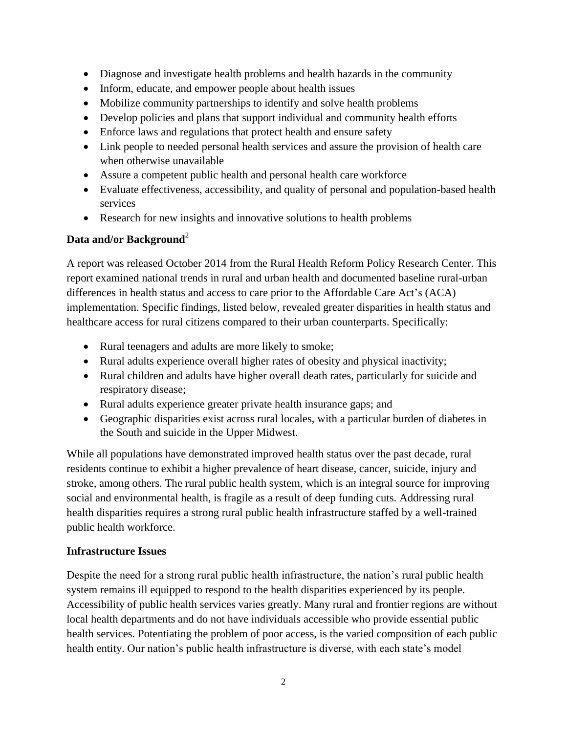- Diagnose and investigate health problems and health hazards in the community
- Inform, educate, and empower people about health issues
- Mobilize community partnerships to identify and solve health problems
- Develop policies and plans that support individual and community health efforts
- Enforce laws and regulations that protect health and ensure safety
- Link people to needed personal health services and assure the provision of health care when otherwise unavailable
- Assure a competent public health and personal health care workforce
- Evaluate effectiveness, accessibility, and quality of personal and population-based health services
- Research for new insights and innovative solutions to health problems

# **Data and/or Background**<sup>2</sup>

A report was released October 2014 from the Rural Health Reform Policy Research Center. This report examined national trends in rural and urban health and documented baseline rural-urban differences in health status and access to care prior to the Affordable Care Act's (ACA) implementation. Specific findings, listed below, revealed greater disparities in health status and healthcare access for rural citizens compared to their urban counterparts. Specifically:

- Rural teenagers and adults are more likely to smoke;
- Rural adults experience overall higher rates of obesity and physical inactivity;
- Rural children and adults have higher overall death rates, particularly for suicide and respiratory disease;
- Rural adults experience greater private health insurance gaps; and
- Geographic disparities exist across rural locales, with a particular burden of diabetes in the South and suicide in the Upper Midwest.

While all populations have demonstrated improved health status over the past decade, rural residents continue to exhibit a higher prevalence of heart disease, cancer, suicide, injury and stroke, among others. The rural public health system, which is an integral source for improving social and environmental health, is fragile as a result of deep funding cuts. Addressing rural health disparities requires a strong rural public health infrastructure staffed by a well-trained public health workforce.

# **Infrastructure Issues**

Despite the need for a strong rural public health infrastructure, the nation's rural public health system remains ill equipped to respond to the health disparities experienced by its people. Accessibility of public health services varies greatly. Many rural and frontier regions are without local health departments and do not have individuals accessible who provide essential public health services. Potentiating the problem of poor access, is the varied composition of each public health entity. Our nation's public health infrastructure is diverse, with each state's model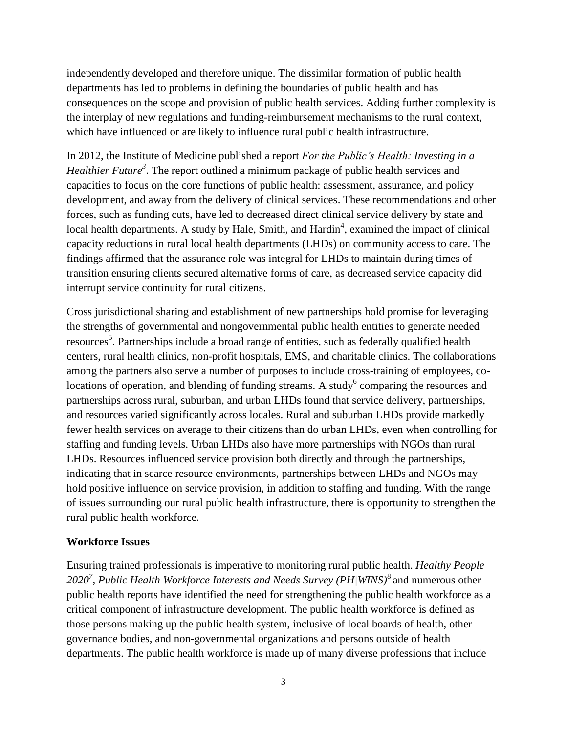independently developed and therefore unique. The dissimilar formation of public health departments has led to problems in defining the boundaries of public health and has consequences on the scope and provision of public health services. Adding further complexity is the interplay of new regulations and funding-reimbursement mechanisms to the rural context, which have influenced or are likely to influence rural public health infrastructure.

In 2012, the Institute of Medicine published a report *For the Public's Health: Investing in a*  Healthier Future<sup>3</sup>. The report outlined a minimum package of public health services and capacities to focus on the core functions of public health: assessment, assurance, and policy development, and away from the delivery of clinical services. These recommendations and other forces, such as funding cuts, have led to decreased direct clinical service delivery by state and local health departments. A study by Hale, Smith, and Hardin<sup>4</sup>, examined the impact of clinical capacity reductions in rural local health departments (LHDs) on community access to care. The findings affirmed that the assurance role was integral for LHDs to maintain during times of transition ensuring clients secured alternative forms of care, as decreased service capacity did interrupt service continuity for rural citizens.

Cross jurisdictional sharing and establishment of new partnerships hold promise for leveraging the strengths of governmental and nongovernmental public health entities to generate needed resources<sup>5</sup>. Partnerships include a broad range of entities, such as federally qualified health centers, rural health clinics, non-profit hospitals, EMS, and charitable clinics. The collaborations among the partners also serve a number of purposes to include cross-training of employees, colocations of operation, and blending of funding streams. A study  $6$  comparing the resources and partnerships across rural, suburban, and urban LHDs found that service delivery, partnerships, and resources varied significantly across locales. Rural and suburban LHDs provide markedly fewer health services on average to their citizens than do urban LHDs, even when controlling for staffing and funding levels. Urban LHDs also have more partnerships with NGOs than rural LHDs. Resources influenced service provision both directly and through the partnerships, indicating that in scarce resource environments, partnerships between LHDs and NGOs may hold positive influence on service provision, in addition to staffing and funding. With the range of issues surrounding our rural public health infrastructure, there is opportunity to strengthen the rural public health workforce.

#### **Workforce Issues**

Ensuring trained professionals is imperative to monitoring rural public health. *Healthy People*  2020<sup>7</sup>, Public Health Workforce Interests and Needs Survey (PH/WINS)<sup>8</sup> and numerous other public health reports have identified the need for strengthening the public health workforce as a critical component of infrastructure development. The public health workforce is defined as those persons making up the public health system, inclusive of local boards of health, other governance bodies, and non-governmental organizations and persons outside of health departments. The public health workforce is made up of many diverse professions that include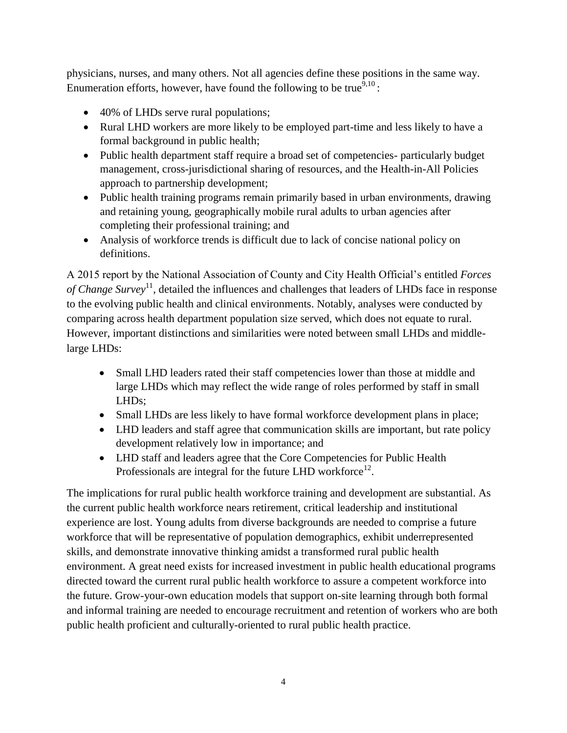physicians, nurses, and many others. Not all agencies define these positions in the same way. Enumeration efforts, however, have found the following to be true $9,10$ :

- 40% of LHDs serve rural populations;
- Rural LHD workers are more likely to be employed part-time and less likely to have a formal background in public health;
- Public health department staff require a broad set of competencies- particularly budget management, cross-jurisdictional sharing of resources, and the Health-in-All Policies approach to partnership development;
- Public health training programs remain primarily based in urban environments, drawing and retaining young, geographically mobile rural adults to urban agencies after completing their professional training; and
- Analysis of workforce trends is difficult due to lack of concise national policy on definitions.

A 2015 report by the National Association of County and City Health Official's entitled *Forces*  of Change Survey<sup>11</sup>, detailed the influences and challenges that leaders of LHDs face in response to the evolving public health and clinical environments. Notably, analyses were conducted by comparing across health department population size served, which does not equate to rural. However, important distinctions and similarities were noted between small LHDs and middlelarge LHDs:

- Small LHD leaders rated their staff competencies lower than those at middle and large LHDs which may reflect the wide range of roles performed by staff in small LHDs;
- Small LHDs are less likely to have formal workforce development plans in place;
- LHD leaders and staff agree that communication skills are important, but rate policy development relatively low in importance; and
- LHD staff and leaders agree that the Core Competencies for Public Health Professionals are integral for the future LHD workforce $^{12}$ .

The implications for rural public health workforce training and development are substantial. As the current public health workforce nears retirement, critical leadership and institutional experience are lost. Young adults from diverse backgrounds are needed to comprise a future workforce that will be representative of population demographics, exhibit underrepresented skills, and demonstrate innovative thinking amidst a transformed rural public health environment. A great need exists for increased investment in public health educational programs directed toward the current rural public health workforce to assure a competent workforce into the future. Grow-your-own education models that support on-site learning through both formal and informal training are needed to encourage recruitment and retention of workers who are both public health proficient and culturally-oriented to rural public health practice.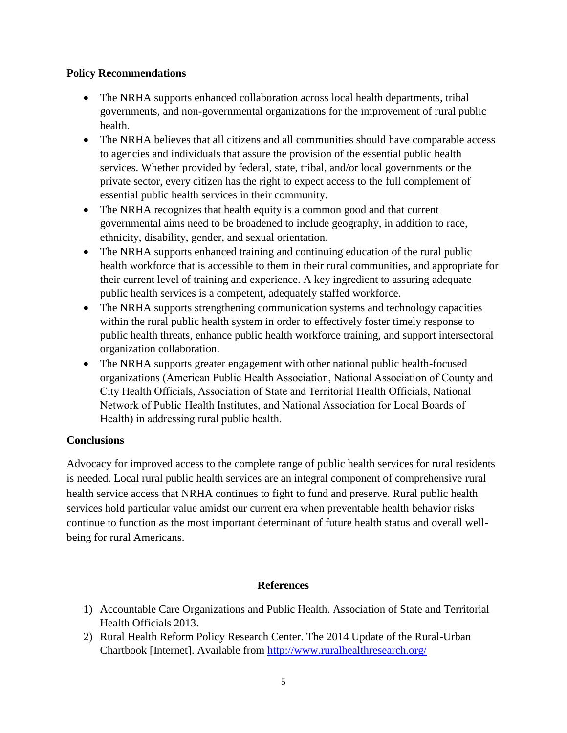### **Policy Recommendations**

- The NRHA supports enhanced collaboration across local health departments, tribal governments, and non-governmental organizations for the improvement of rural public health.
- The NRHA believes that all citizens and all communities should have comparable access to agencies and individuals that assure the provision of the essential public health services. Whether provided by federal, state, tribal, and/or local governments or the private sector, every citizen has the right to expect access to the full complement of essential public health services in their community.
- The NRHA recognizes that health equity is a common good and that current governmental aims need to be broadened to include geography, in addition to race, ethnicity, disability, gender, and sexual orientation.
- The NRHA supports enhanced training and continuing education of the rural public health workforce that is accessible to them in their rural communities, and appropriate for their current level of training and experience. A key ingredient to assuring adequate public health services is a competent, adequately staffed workforce.
- The NRHA supports strengthening communication systems and technology capacities within the rural public health system in order to effectively foster timely response to public health threats, enhance public health workforce training, and support intersectoral organization collaboration.
- The NRHA supports greater engagement with other national public health-focused organizations (American Public Health Association, National Association of County and City Health Officials, Association of State and Territorial Health Officials, National Network of Public Health Institutes, and National Association for Local Boards of Health) in addressing rural public health.

# **Conclusions**

Advocacy for improved access to the complete range of public health services for rural residents is needed. Local rural public health services are an integral component of comprehensive rural health service access that NRHA continues to fight to fund and preserve. Rural public health services hold particular value amidst our current era when preventable health behavior risks continue to function as the most important determinant of future health status and overall wellbeing for rural Americans.

# **References**

- 1) Accountable Care Organizations and Public Health. Association of State and Territorial Health Officials 2013.
- 2) Rural Health Reform Policy Research Center. The 2014 Update of the Rural-Urban Chartbook [Internet]. Available from<http://www.ruralhealthresearch.org/>